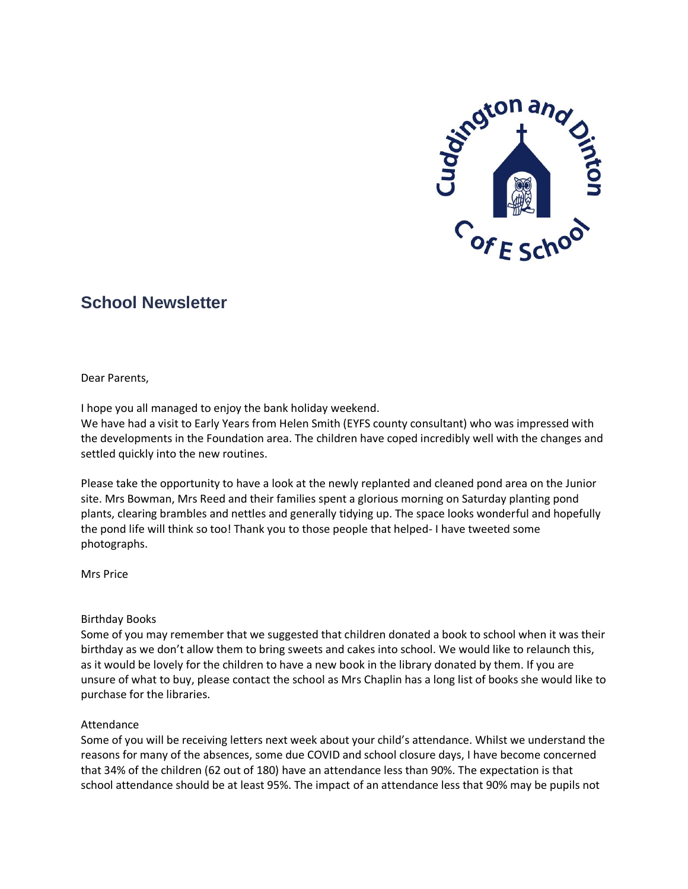

# **School Newsletter**

Dear Parents,

I hope you all managed to enjoy the bank holiday weekend.

We have had a visit to Early Years from Helen Smith (EYFS county consultant) who was impressed with the developments in the Foundation area. The children have coped incredibly well with the changes and settled quickly into the new routines.

Please take the opportunity to have a look at the newly replanted and cleaned pond area on the Junior site. Mrs Bowman, Mrs Reed and their families spent a glorious morning on Saturday planting pond plants, clearing brambles and nettles and generally tidying up. The space looks wonderful and hopefully the pond life will think so too! Thank you to those people that helped- I have tweeted some photographs.

Mrs Price

## Birthday Books

Some of you may remember that we suggested that children donated a book to school when it was their birthday as we don't allow them to bring sweets and cakes into school. We would like to relaunch this, as it would be lovely for the children to have a new book in the library donated by them. If you are unsure of what to buy, please contact the school as Mrs Chaplin has a long list of books she would like to purchase for the libraries.

## Attendance

Some of you will be receiving letters next week about your child's attendance. Whilst we understand the reasons for many of the absences, some due COVID and school closure days, I have become concerned that 34% of the children (62 out of 180) have an attendance less than 90%. The expectation is that school attendance should be at least 95%. The impact of an attendance less that 90% may be pupils not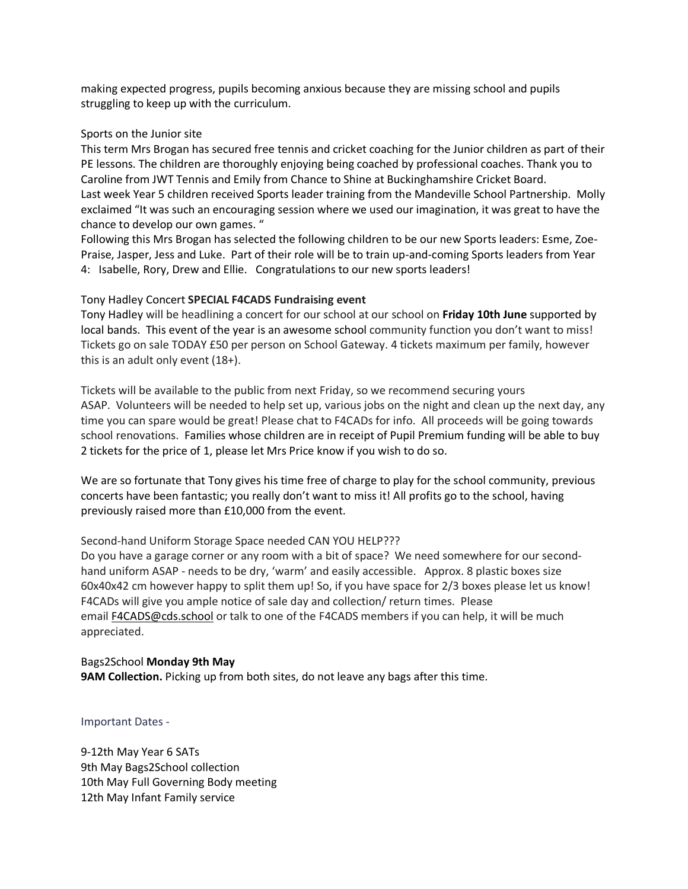making expected progress, pupils becoming anxious because they are missing school and pupils struggling to keep up with the curriculum.

## Sports on the Junior site

This term Mrs Brogan has secured free tennis and cricket coaching for the Junior children as part of their PE lessons. The children are thoroughly enjoying being coached by professional coaches. Thank you to Caroline from JWT Tennis and Emily from Chance to Shine at Buckinghamshire Cricket Board. Last week Year 5 children received Sports leader training from the Mandeville School Partnership. Molly exclaimed "It was such an encouraging session where we used our imagination, it was great to have the chance to develop our own games. "

Following this Mrs Brogan has selected the following children to be our new Sports leaders: Esme, Zoe-Praise, Jasper, Jess and Luke. Part of their role will be to train up-and-coming Sports leaders from Year 4: Isabelle, Rory, Drew and Ellie. Congratulations to our new sports leaders!

### Tony Hadley Concert **SPECIAL F4CADS Fundraising event**

Tony Hadley will be headlining a concert for our school at our school on **Friday 10th June** supported by local bands. This event of the year is an awesome school community function you don't want to miss! Tickets go on sale TODAY £50 per person on School Gateway. 4 tickets maximum per family, however this is an adult only event (18+).

Tickets will be available to the public from next Friday, so we recommend securing yours ASAP. Volunteers will be needed to help set up, various jobs on the night and clean up the next day, any time you can spare would be great! Please chat to F4CADs for info. All proceeds will be going towards school renovations. Families whose children are in receipt of Pupil Premium funding will be able to buy 2 tickets for the price of 1, please let Mrs Price know if you wish to do so.

We are so fortunate that Tony gives his time free of charge to play for the school community, previous concerts have been fantastic; you really don't want to miss it! All profits go to the school, having previously raised more than £10,000 from the event.

## Second-hand Uniform Storage Space needed CAN YOU HELP???

Do you have a garage corner or any room with a bit of space? We need somewhere for our secondhand uniform ASAP - needs to be dry, 'warm' and easily accessible. Approx. 8 plastic boxes size 60x40x42 cm however happy to split them up! So, if you have space for 2/3 boxes please let us know! F4CADs will give you ample notice of sale day and collection/ return times. Please email **F4CADS@cds.school** or talk to one of the F4CADS members if you can help, it will be much appreciated.

Bags2School **Monday 9th May 9AM Collection.** Picking up from both sites, do not leave any bags after this time.

Important Dates -

9-12th May Year 6 SATs 9th May Bags2School collection 10th May Full Governing Body meeting 12th May Infant Family service